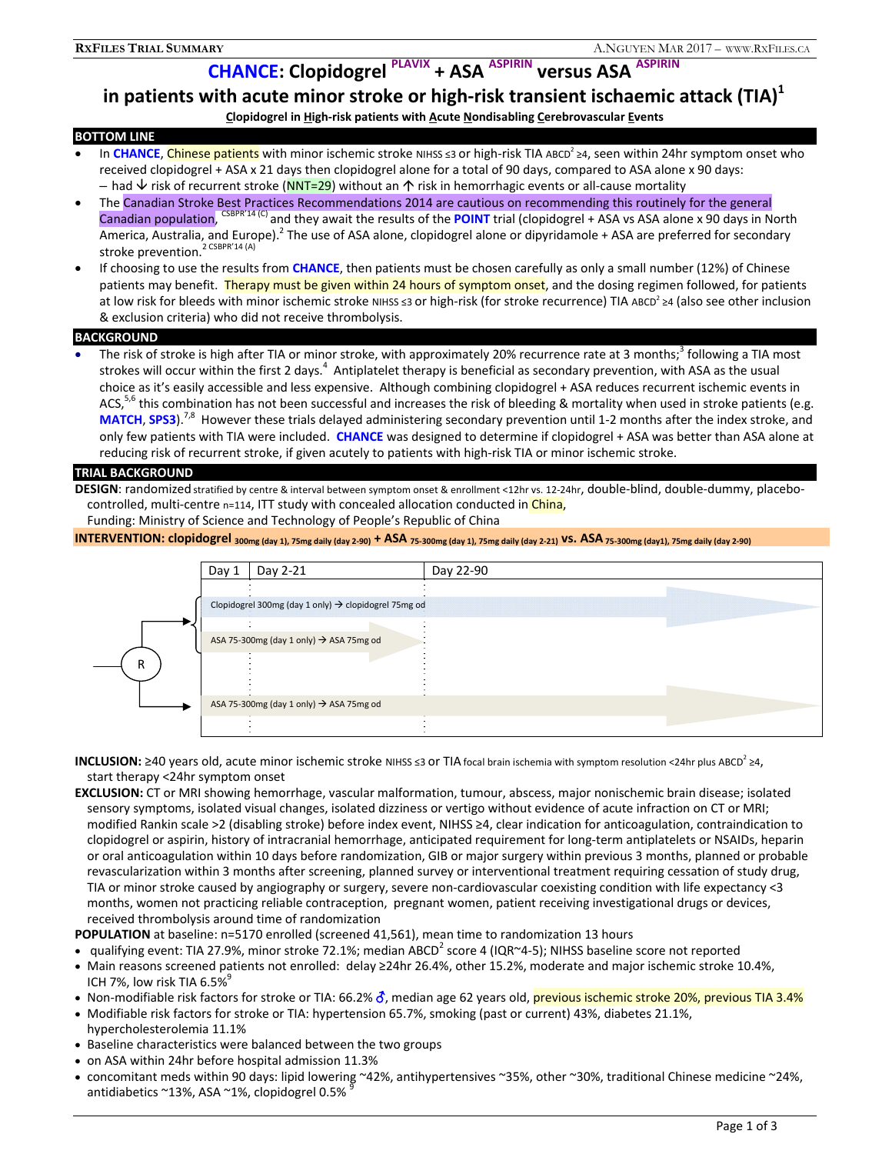# **CHANCE: Clopidogrel PLAVIX + ASA ASPIRIN versus ASA ASPIRIN**

# **in patients with acute minor stroke or high-risk transient ischaemic attack (TIA)**<sup>1</sup>

### **Clopidogrel in High-risk patients with Acute Nondisabling Cerebrovascular Events**

# **BOTTOM LINE**

- In CHANCE, Chinese patients with minor ischemic stroke NIHSS ≤3 or high-risk TIA ABCD<sup>2</sup> ≥4, seen within 24hr symptom onset who received clopidogrel + ASA x 21 days then clopidogrel alone for a total of 90 days, compared to ASA alone x 90 days: – had  $\vee$  risk of recurrent stroke (NNT=29) without an  $\uparrow$  risk in hemorrhagic events or all-cause mortality
- The Canadian Stroke Best Practices Recommendations 2014 are cautious on recommending this routinely for the general Canadian population, CSBPR'14 (C) and they await the results of the **POINT** trial (clopidogrel + ASA vs ASA alone x 90 days in North America, Australia, and Europe).<sup>2</sup> The use of ASA alone, clopidogrel alone or dipyridamole + ASA are preferred for secondary stroke prevention.<sup>2 CSBPR'14 (A)</sup>
- If choosing to use the results from **CHANCE**, then patients must be chosen carefully as only a small number (12%) of Chinese patients may benefit. Therapy must be given within 24 hours of symptom onset, and the dosing regimen followed, for patients at low risk for bleeds with minor ischemic stroke NIHSS ≤3 or high-risk (for stroke recurrence) TIA ABCD<sup>2</sup> ≥4 (also see other inclusion & exclusion criteria) who did not receive thrombolysis.

#### **BACKGROUND**

• The risk of stroke is high after TIA or minor stroke, with approximately 20% recurrence rate at 3 months;<sup>3</sup> following a TIA most strokes will occur within the first 2 days.<sup>4</sup> Antiplatelet therapy is beneficial as secondary prevention, with ASA as the usual choice as it's easily accessible and less expensive. Although combining clopidogrel + ASA reduces recurrent ischemic events in ACS,<sup>5,6</sup> this combination has not been successful and increases the risk of bleeding & mortality when used in stroke patients (e.g. MATCH, SPS3).<sup>7,8</sup> However these trials delayed administering secondary prevention until 1-2 months after the index stroke, and only few patients with TIA were included. **CHANCE** was designed to determine if clopidogrel + ASA was better than ASA alone at reducing risk of recurrent stroke, if given acutely to patients with high-risk TIA or minor ischemic stroke.

#### **TRIAL BACKGROUND**

**DESIGN**: randomized stratified by centre & interval between symptom onset & enrollment <12hr vs. 12-24hr, double-blind, double-dummy, placebocontrolled, multi-centre n=114, ITT study with concealed allocation conducted in China,

Funding: Ministry of Science and Technology of People's Republic of China

# **INTERVENTION: clopidogrel** 300mg (day 1), 75mg daily (day 2-90) + ASA 75-300mg (day 1), 75mg daily (day 2-21) VS. ASA 75-300mg (day1), 75mg daily (day 2-90)



**INCLUSION:** ≥40 years old, acute minor ischemic stroke NIHSS ≤3 or TIA focal brain ischemia with symptom resolution <24hr plus ABCD<sup>2</sup> ≥4, start therapy <24hr symptom onset

**EXCLUSION:** CT or MRI showing hemorrhage, vascular malformation, tumour, abscess, major nonischemic brain disease; isolated sensory symptoms, isolated visual changes, isolated dizziness or vertigo without evidence of acute infraction on CT or MRI; modified Rankin scale >2 (disabling stroke) before index event, NIHSS ≥4, clear indication for anticoagulation, contraindication to clopidogrel or aspirin, history of intracranial hemorrhage, anticipated requirement for long-term antiplatelets or NSAIDs, heparin or oral anticoagulation within 10 days before randomization, GIB or major surgery within previous 3 months, planned or probable revascularization within 3 months after screening, planned survey or interventional treatment requiring cessation of study drug, TIA or minor stroke caused by angiography or surgery, severe non-cardiovascular coexisting condition with life expectancy <3 months, women not practicing reliable contraception, pregnant women, patient receiving investigational drugs or devices, received thrombolysis around time of randomization

**POPULATION** at baseline: n=5170 enrolled (screened 41,561), mean time to randomization 13 hours

- qualifying event: TIA 27.9%, minor stroke 72.1%; median ABCD<sup>2</sup> score 4 (IQR~4-5); NIHSS baseline score not reported
- Main reasons screened patients not enrolled: delay ≥24hr 26.4%, other 15.2%, moderate and major ischemic stroke 10.4%, ICH 7%, low risk TIA  $6.5\%$
- Non-modifiable risk factors for stroke or TIA: 66.2% of, median age 62 years old, previous ischemic stroke 20%, previous TIA 3.4%
- Modifiable risk factors for stroke or TIA: hypertension 65.7%, smoking (past or current) 43%, diabetes 21.1%, hypercholesterolemia 11.1%
- Baseline characteristics were balanced between the two groups
- on ASA within 24hr before hospital admission 11.3%
- concomitant meds within 90 days: lipid lowering ~42%, antihypertensives ~35%, other ~30%, traditional Chinese medicine ~24%, antidiabetics ~13%, ASA ~1%, clopidogrel 0.5% <sup>9</sup>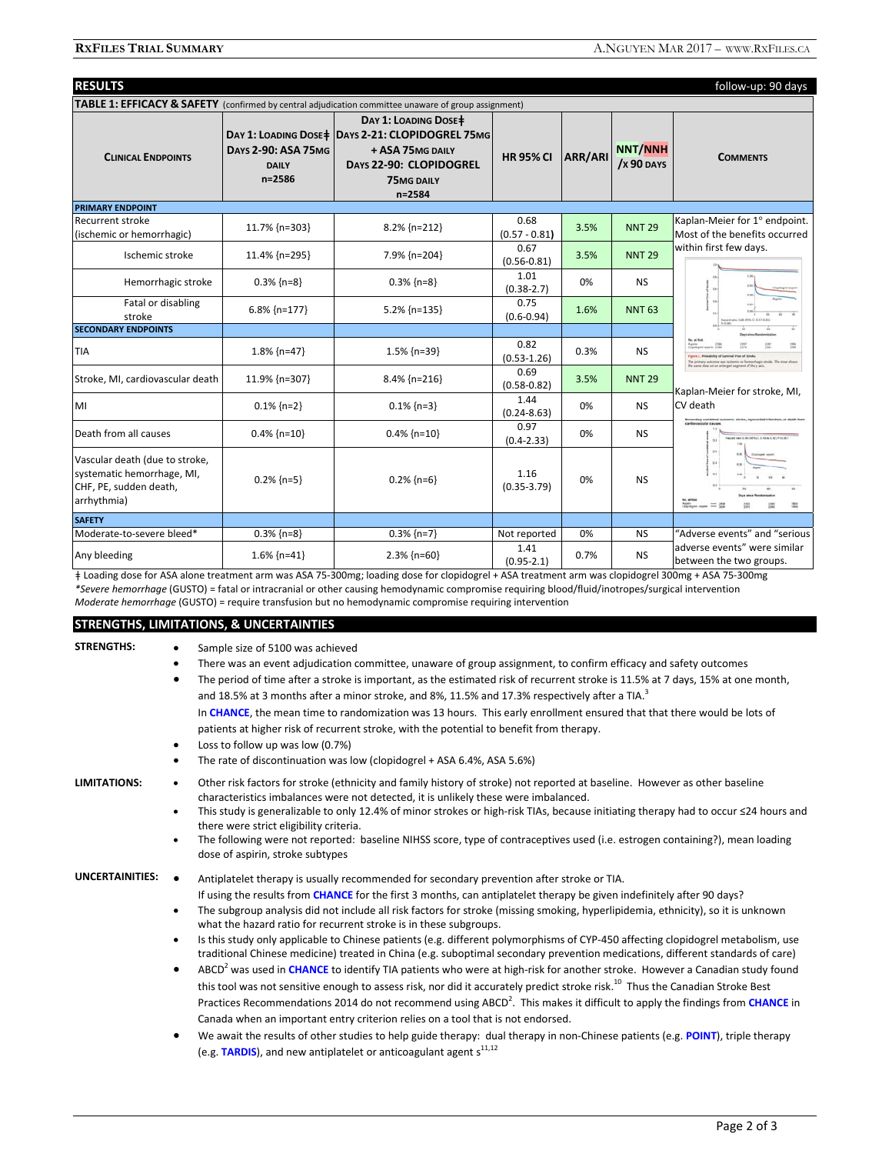| <b>RESULTS</b>                                                                                                  |                                                      |                                                                                                                                                          |                         |                |                                           | follow-up: 90 days                                                                  |  |
|-----------------------------------------------------------------------------------------------------------------|------------------------------------------------------|----------------------------------------------------------------------------------------------------------------------------------------------------------|-------------------------|----------------|-------------------------------------------|-------------------------------------------------------------------------------------|--|
| <b>TABLE 1: EFFICACY &amp; SAFETY</b> (confirmed by central adjudication committee unaware of group assignment) |                                                      |                                                                                                                                                          |                         |                |                                           |                                                                                     |  |
| <b>CLINICAL ENDPOINTS</b>                                                                                       | <b>DAYS 2-90: ASA 75MG</b><br><b>DAILY</b><br>n=2586 | DAY 1: LOADING DOSE ‡<br>DAY 1: LOADING DOSE   DAYS 2-21: CLOPIDOGREL 75MG<br>+ ASA 75MG DAILY<br>DAYS 22-90: CLOPIDOGREL<br><b>75MG DAILY</b><br>n=2584 | <b>HR 95% CI</b>        | <b>ARR/ARI</b> | <b>NNT/NNH</b><br>$\frac{1}{2}$ X 90 DAYS | <b>COMMENTS</b>                                                                     |  |
| <b>PRIMARY ENDPOINT</b>                                                                                         |                                                      |                                                                                                                                                          |                         |                |                                           |                                                                                     |  |
| Recurrent stroke<br>(ischemic or hemorrhagic)                                                                   | 11.7% {n=303}                                        | 8.2% {n=212}                                                                                                                                             | 0.68<br>$(0.57 - 0.81)$ | 3.5%           | <b>NNT 29</b>                             | Kaplan-Meier for 1° endpoint.<br>Most of the benefits occurred                      |  |
| Ischemic stroke                                                                                                 | 11.4% {n=295}                                        | 7.9% {n=204}                                                                                                                                             | 0.67<br>$(0.56 - 0.81)$ | 3.5%           | <b>NNT 29</b>                             | within first few days.                                                              |  |
| Hemorrhagic stroke                                                                                              | $0.3\%$ {n=8}                                        | $0.3\%$ {n=8}                                                                                                                                            | 1.01<br>$(0.38 - 2.7)$  | 0%             | <b>NS</b>                                 |                                                                                     |  |
| Fatal or disabling<br>stroke                                                                                    | $6.8\%$ {n=177}                                      | 5.2% {n=135}                                                                                                                                             | 0.75<br>$(0.6 - 0.94)$  | 1.6%           | <b>NNT 63</b>                             |                                                                                     |  |
| <b>SECONDARY ENDPOINTS</b>                                                                                      |                                                      |                                                                                                                                                          |                         |                |                                           |                                                                                     |  |
| <b>TIA</b>                                                                                                      | 1.8% {n=47}                                          | $1.5\%$ {n=39}                                                                                                                                           | 0.82<br>$(0.53 - 1.26)$ | 0.3%           | <b>NS</b>                                 | <b>No. of By</b><br>na data on an aniseped sagmant of the y as                      |  |
| Stroke, MI, cardiovascular death                                                                                | 11.9% {n=307}                                        | $8.4\%$ {n=216}                                                                                                                                          | 0.69<br>$(0.58 - 0.82)$ | 3.5%           | <b>NNT 29</b>                             | Kaplan-Meier for stroke, MI,                                                        |  |
| MI                                                                                                              | $0.1\%$ {n=2}                                        | $0.1\%$ {n=3}                                                                                                                                            | 1.44<br>$(0.24 - 8.63)$ | 0%             | <b>NS</b>                                 | CV death<br>coald calls in the calibrary, is the as it will be<br>$-2.4$<br>$^{16}$ |  |
| Death from all causes                                                                                           | $0.4\%$ {n=10}                                       | $0.4\%$ {n=10}                                                                                                                                           | 0.97<br>$(0.4 - 2.33)$  | 0%             | <b>NS</b>                                 |                                                                                     |  |
| Vascular death (due to stroke,<br>systematic hemorrhage, MI,<br>CHF, PE, sudden death,<br>arrhythmia)           | $0.2\%$ {n=5}                                        | $0.2\%$ {n=6}                                                                                                                                            | 1.16<br>$(0.35 - 3.79)$ | 0%             | <b>NS</b>                                 |                                                                                     |  |
| <b>SAFETY</b>                                                                                                   |                                                      |                                                                                                                                                          |                         |                |                                           |                                                                                     |  |
| Moderate-to-severe bleed*                                                                                       | $0.3\%$ {n=8}                                        | $0.3\%$ {n=7}                                                                                                                                            | Not reported            | 0%             | <b>NS</b>                                 | "Adverse events" and "serious                                                       |  |
| Any bleeding                                                                                                    | $1.6\%$ {n=41}                                       | $2.3\%$ {n=60}                                                                                                                                           | 1.41<br>$(0.95 - 2.1)$  | 0.7%           | <b>NS</b>                                 | adverse events" were similar<br>between the two groups.                             |  |

ǂ Loading dose for ASA alone treatment arm was ASA 75-300mg; loading dose for clopidogrel + ASA treatment arm was clopidogrel 300mg + ASA 75-300mg *\*Severe hemorrhage* (GUSTO) = fatal or intracranial or other causing hemodynamic compromise requiring blood/fluid/inotropes/surgical intervention *Moderate hemorrhage* (GUSTO) = require transfusion but no hemodynamic compromise requiring intervention

# **STRENGTHS, LIMITATIONS, & UNCERTAINTIES**

| <b>STRENGTHS:</b> | Sample size of 5100 was achieved<br>$\bullet$<br>There was an event adjudication committee, unaware of group assignment, to confirm efficacy and safety outcomes<br>٠<br>The period of time after a stroke is important, as the estimated risk of recurrent stroke is 11.5% at 7 days, 15% at one month,<br>٠<br>and 18.5% at 3 months after a minor stroke, and 8%, 11.5% and 17.3% respectively after a TIA. <sup>3</sup><br>In CHANCE, the mean time to randomization was 13 hours. This early enrollment ensured that that there would be lots of<br>patients at higher risk of recurrent stroke, with the potential to benefit from therapy.<br>Loss to follow up was low (0.7%)<br>$\bullet$                                                                                                                                                                                                                                                                                                                                                                                                                                                                                                                                                                                                                                                                                                                                                                                  |
|-------------------|-------------------------------------------------------------------------------------------------------------------------------------------------------------------------------------------------------------------------------------------------------------------------------------------------------------------------------------------------------------------------------------------------------------------------------------------------------------------------------------------------------------------------------------------------------------------------------------------------------------------------------------------------------------------------------------------------------------------------------------------------------------------------------------------------------------------------------------------------------------------------------------------------------------------------------------------------------------------------------------------------------------------------------------------------------------------------------------------------------------------------------------------------------------------------------------------------------------------------------------------------------------------------------------------------------------------------------------------------------------------------------------------------------------------------------------------------------------------------------------|
|                   | The rate of discontinuation was low (clopidogrel + ASA 6.4%, ASA 5.6%)<br>٠                                                                                                                                                                                                                                                                                                                                                                                                                                                                                                                                                                                                                                                                                                                                                                                                                                                                                                                                                                                                                                                                                                                                                                                                                                                                                                                                                                                                         |
| LIMITATIONS:      | Other risk factors for stroke (ethnicity and family history of stroke) not reported at baseline. However as other baseline<br>$\bullet$<br>characteristics imbalances were not detected, it is unlikely these were imbalanced.<br>This study is generalizable to only 12.4% of minor strokes or high-risk TIAs, because initiating therapy had to occur ≤24 hours and<br>$\bullet$<br>there were strict eligibility criteria.<br>The following were not reported: baseline NIHSS score, type of contraceptives used (i.e. estrogen containing?), mean loading<br>٠<br>dose of aspirin, stroke subtypes                                                                                                                                                                                                                                                                                                                                                                                                                                                                                                                                                                                                                                                                                                                                                                                                                                                                              |
| UNCERTAINITIES:   | Antiplatelet therapy is usually recommended for secondary prevention after stroke or TIA.<br>$\bullet$<br>If using the results from CHANCE for the first 3 months, can antiplatelet therapy be given indefinitely after 90 days?<br>The subgroup analysis did not include all risk factors for stroke (missing smoking, hyperlipidemia, ethnicity), so it is unknown<br>٠<br>what the hazard ratio for recurrent stroke is in these subgroups.<br>Is this study only applicable to Chinese patients (e.g. different polymorphisms of CYP-450 affecting clopidogrel metabolism, use<br>$\bullet$<br>traditional Chinese medicine) treated in China (e.g. suboptimal secondary prevention medications, different standards of care)<br>ABCD <sup>2</sup> was used in CHANCE to identify TIA patients who were at high-risk for another stroke. However a Canadian study found<br>$\bullet$<br>this tool was not sensitive enough to assess risk, nor did it accurately predict stroke risk. <sup>10</sup> Thus the Canadian Stroke Best<br>Practices Recommendations 2014 do not recommend using ABCD <sup>2</sup> . This makes it difficult to apply the findings from CHANCE in<br>Canada when an important entry criterion relies on a tool that is not endorsed.<br>We await the results of other studies to help guide therapy: dual therapy in non-Chinese patients (e.g. POINT), triple therapy<br>٠<br>(e.g. TARDIS), and new antiplatelet or anticoagulant agent $s^{11,12}$ |